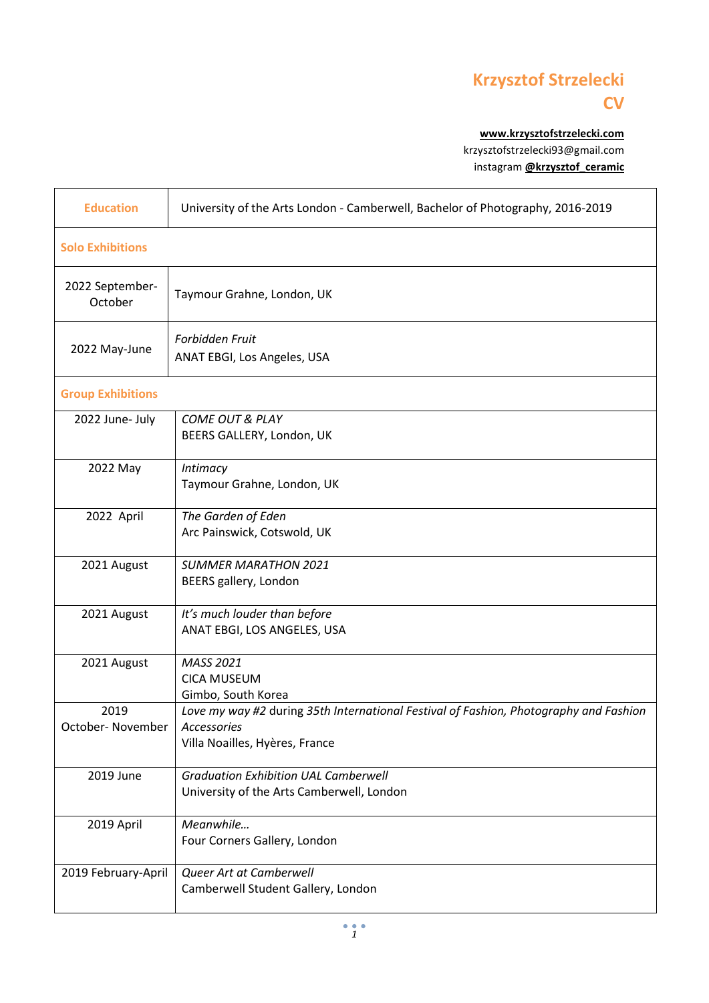## **Krzysztof Strzelecki CV**

**[www.krzysztofstrzelecki.com](file:///C:/Users/Krystof/AppData/Roaming/Microsoft/Word/www.krzysztofstrzelecki.com)** krzysztofstrzelecki93@gmail.com instagram **[@krzysztof\\_ceramic](https://www.instagram.com/krzysztof_ceramic/)**

| <b>Education</b>           | University of the Arts London - Camberwell, Bachelor of Photography, 2016-2019                                                         |  |
|----------------------------|----------------------------------------------------------------------------------------------------------------------------------------|--|
| <b>Solo Exhibitions</b>    |                                                                                                                                        |  |
| 2022 September-<br>October | Taymour Grahne, London, UK                                                                                                             |  |
| 2022 May-June              | Forbidden Fruit<br>ANAT EBGI, Los Angeles, USA                                                                                         |  |
| <b>Group Exhibitions</b>   |                                                                                                                                        |  |
| 2022 June- July            | <b>COME OUT &amp; PLAY</b><br>BEERS GALLERY, London, UK                                                                                |  |
| 2022 May                   | Intimacy<br>Taymour Grahne, London, UK                                                                                                 |  |
| 2022 April                 | The Garden of Eden<br>Arc Painswick, Cotswold, UK                                                                                      |  |
| 2021 August                | <b>SUMMER MARATHON 2021</b><br>BEERS gallery, London                                                                                   |  |
| 2021 August                | It's much louder than before<br>ANAT EBGI, LOS ANGELES, USA                                                                            |  |
| 2021 August                | MASS 2021<br><b>CICA MUSEUM</b><br>Gimbo, South Korea                                                                                  |  |
| 2019<br>October- November  | Love my way #2 during 35th International Festival of Fashion, Photography and Fashion<br>Accessories<br>Villa Noailles, Hyères, France |  |
| 2019 June                  | <b>Graduation Exhibition UAL Camberwell</b><br>University of the Arts Camberwell, London                                               |  |
| 2019 April                 | Meanwhile<br>Four Corners Gallery, London                                                                                              |  |
| 2019 February-April        | Queer Art at Camberwell<br>Camberwell Student Gallery, London                                                                          |  |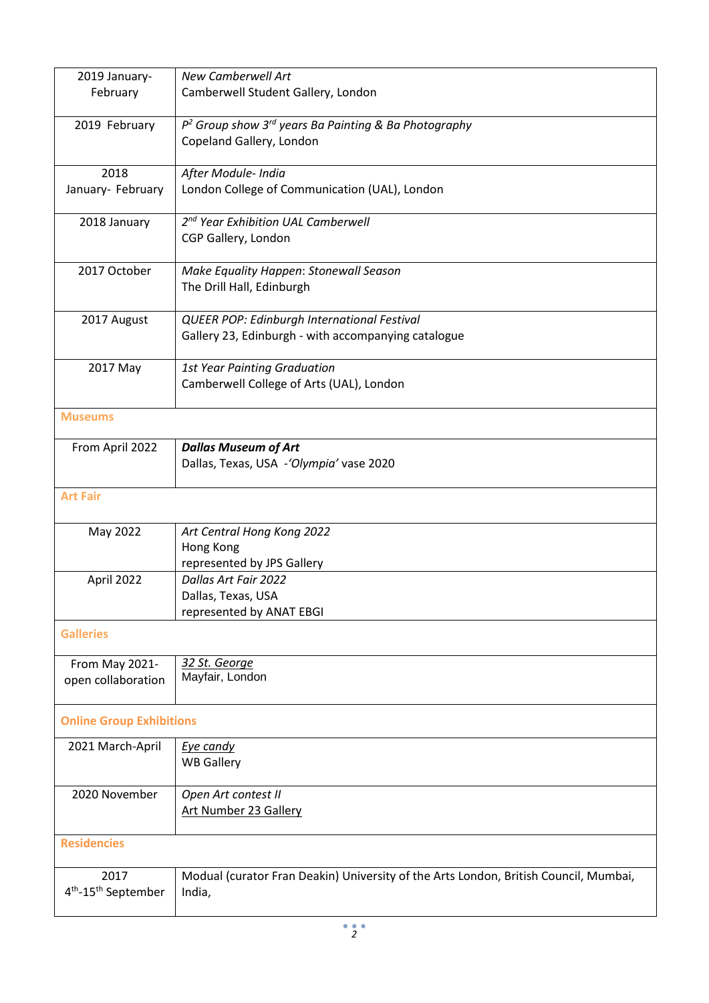| 2019 January-<br>February                           | <b>New Camberwell Art</b><br>Camberwell Student Gallery, London                                    |  |
|-----------------------------------------------------|----------------------------------------------------------------------------------------------------|--|
| 2019 February                                       | $P2$ Group show 3 <sup>rd</sup> years Ba Painting & Ba Photography<br>Copeland Gallery, London     |  |
| 2018<br>January- February                           | After Module- India<br>London College of Communication (UAL), London                               |  |
| 2018 January                                        | 2 <sup>nd</sup> Year Exhibition UAL Camberwell<br>CGP Gallery, London                              |  |
| 2017 October                                        | Make Equality Happen: Stonewall Season<br>The Drill Hall, Edinburgh                                |  |
| 2017 August                                         | QUEER POP: Edinburgh International Festival<br>Gallery 23, Edinburgh - with accompanying catalogue |  |
| 2017 May                                            | <b>1st Year Painting Graduation</b><br>Camberwell College of Arts (UAL), London                    |  |
| <b>Museums</b>                                      |                                                                                                    |  |
| From April 2022                                     | <b>Dallas Museum of Art</b><br>Dallas, Texas, USA -'Olympia' vase 2020                             |  |
| <b>Art Fair</b>                                     |                                                                                                    |  |
| May 2022                                            | Art Central Hong Kong 2022<br>Hong Kong<br>represented by JPS Gallery                              |  |
| April 2022                                          | Dallas Art Fair 2022<br>Dallas, Texas, USA<br>represented by ANAT EBGI                             |  |
| <b>Galleries</b>                                    |                                                                                                    |  |
| From May 2021-<br>open collaboration                | 32 St. George<br>Mayfair, London                                                                   |  |
| <b>Online Group Exhibitions</b>                     |                                                                                                    |  |
| 2021 March-April                                    | Eye candy<br><b>WB Gallery</b>                                                                     |  |
| 2020 November                                       | Open Art contest II<br><b>Art Number 23 Gallery</b>                                                |  |
| <b>Residencies</b>                                  |                                                                                                    |  |
| 2017<br>4 <sup>th</sup> -15 <sup>th</sup> September | Modual (curator Fran Deakin) University of the Arts London, British Council, Mumbai,<br>India,     |  |